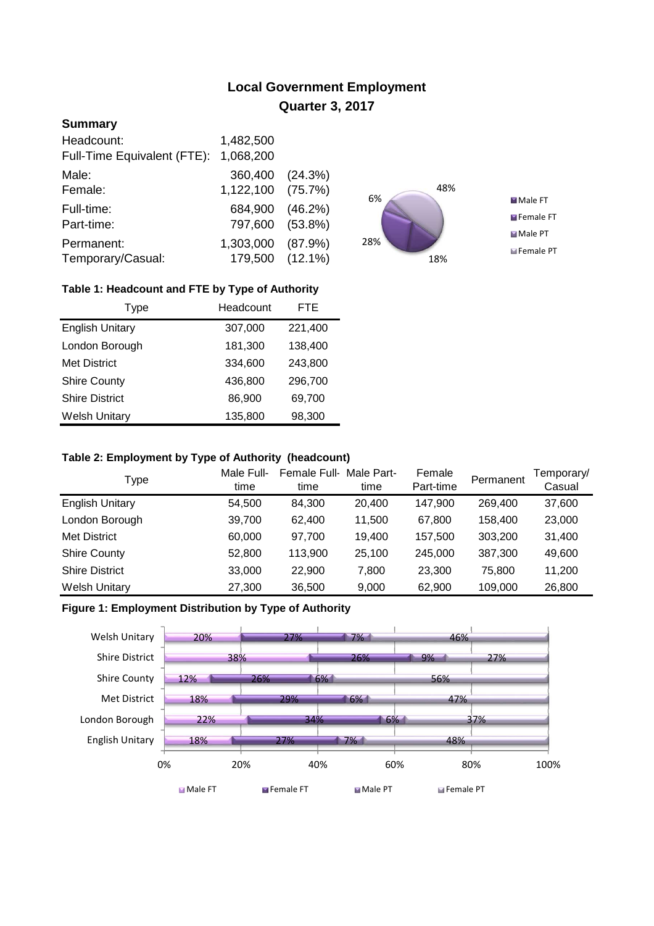# **Local Government Employment Quarter 3, 2017**

## **Summary**

| Headcount:                  | 1,482,500         |            |
|-----------------------------|-------------------|------------|
| Full-Time Equivalent (FTE): | 1,068,200         |            |
| Male:                       | 360,400 (24.3%)   |            |
| Female:                     | 1,122,100 (75.7%) |            |
| Full-time:                  | 684,900           | (46.2%)    |
| Part-time:                  | 797,600           | $(53.8\%)$ |
| Permanent:                  | 1,303,000         | (87.9%)    |
| Temporary/Casual:           | 179,500 (12.1%)   |            |



## **Table 1: Headcount and FTE by Type of Authority**

| Type                   | Headcount | <b>FTE</b> |
|------------------------|-----------|------------|
| <b>English Unitary</b> | 307,000   | 221,400    |
| London Borough         | 181,300   | 138,400    |
| <b>Met District</b>    | 334,600   | 243,800    |
| <b>Shire County</b>    | 436,800   | 296,700    |
| <b>Shire District</b>  | 86,900    | 69,700     |
| <b>Welsh Unitary</b>   | 135,800   | 98,300     |

#### **Table 2: Employment by Type of Authority (headcount)**

| Type                   | Male Full-<br>time | Female Full-<br>time | Male Part-<br>time | Female<br>Part-time | Permanent | Temporary/<br>Casual |
|------------------------|--------------------|----------------------|--------------------|---------------------|-----------|----------------------|
| <b>English Unitary</b> | 54,500             | 84.300               | 20,400             | 147,900             | 269,400   | 37,600               |
| London Borough         | 39,700             | 62.400               | 11.500             | 67,800              | 158,400   | 23,000               |
| <b>Met District</b>    | 60,000             | 97.700               | 19,400             | 157,500             | 303,200   | 31,400               |
| <b>Shire County</b>    | 52,800             | 113,900              | 25,100             | 245,000             | 387,300   | 49,600               |
| <b>Shire District</b>  | 33,000             | 22,900               | 7.800              | 23,300              | 75,800    | 11,200               |
| <b>Welsh Unitary</b>   | 27,300             | 36,500               | 9,000              | 62,900              | 109,000   | 26,800               |

### **Figure 1: Employment Distribution by Type of Authority**